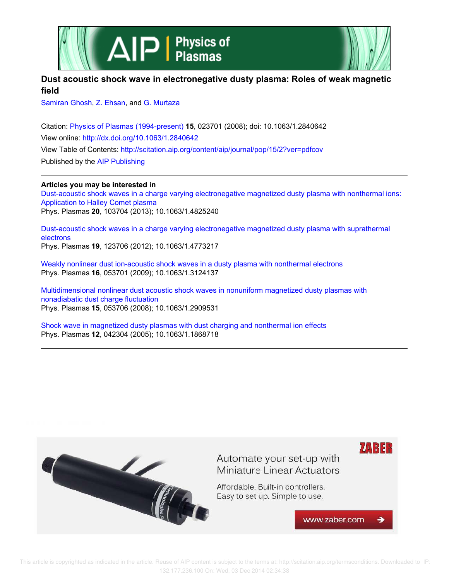



# **Dust acoustic shock wave in electronegative dusty plasma: Roles of weak magnetic field**

Samiran Ghosh, Z. Ehsan, and G. Murtaza

Citation: Physics of Plasmas (1994-present) **15**, 023701 (2008); doi: 10.1063/1.2840642 View online: http://dx.doi.org/10.1063/1.2840642 View Table of Contents: http://scitation.aip.org/content/aip/journal/pop/15/2?ver=pdfcov Published by the AIP Publishing

## **Articles you may be interested in**

Dust-acoustic shock waves in a charge varying electronegative magnetized dusty plasma with nonthermal ions: Application to Halley Comet plasma Phys. Plasmas **20**, 103704 (2013); 10.1063/1.4825240

Dust-acoustic shock waves in a charge varying electronegative magnetized dusty plasma with suprathermal electrons Phys. Plasmas **19**, 123706 (2012); 10.1063/1.4773217

Weakly nonlinear dust ion-acoustic shock waves in a dusty plasma with nonthermal electrons Phys. Plasmas **16**, 053701 (2009); 10.1063/1.3124137

Multidimensional nonlinear dust acoustic shock waves in nonuniform magnetized dusty plasmas with nonadiabatic dust charge fluctuation Phys. Plasmas **15**, 053706 (2008); 10.1063/1.2909531

Shock wave in magnetized dusty plasmas with dust charging and nonthermal ion effects Phys. Plasmas **12**, 042304 (2005); 10.1063/1.1868718



 This article is copyrighted as indicated in the article. Reuse of AIP content is subject to the terms at: http://scitation.aip.org/termsconditions. Downloaded to IP: 132.177.236.100 On: Wed, 03 Dec 2014 02:34:38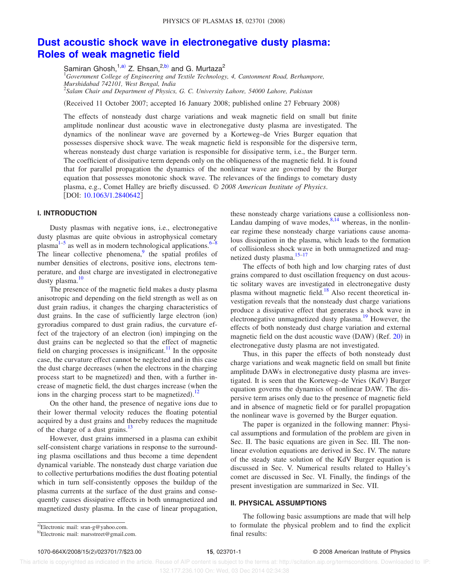# **Dust acoustic shock wave in electronegative dusty plasma: Roles of weak magnetic field**

Samiran Ghosh, <sup>1,a)</sup> Z. Ehsan, <sup>2,b)</sup> and G. Murtaza<sup>2</sup>

<sup>1</sup>*Government College of Engineering and Textile Technology, 4, Cantonment Road, Berhampore, Murshidabad 742101, West Bengal, India*

2 *Salam Chair and Department of Physics, G. C. University Lahore, 54000 Lahore, Pakistan*

(Received 11 October 2007; accepted 16 January 2008; published online 27 February 2008)

The effects of nonsteady dust charge variations and weak magnetic field on small but finite amplitude nonlinear dust acoustic wave in electronegative dusty plasma are investigated. The dynamics of the nonlinear wave are governed by a Korteweg–de Vries Burger equation that possesses dispersive shock wave. The weak magnetic field is responsible for the dispersive term, whereas nonsteady dust charge variation is responsible for dissipative term, i.e., the Burger term. The coefficient of dissipative term depends only on the obliqueness of the magnetic field. It is found that for parallel propagation the dynamics of the nonlinear wave are governed by the Burger equation that possesses monotonic shock wave. The relevances of the findings to cometary dusty plasma, e.g., Comet Halley are briefly discussed. © *2008 American Institute of Physics*. [DOI: 10.1063/1.2840642]

#### **I. INTRODUCTION**

Dusty plasmas with negative ions, i.e., electronegative dusty plasmas are quite obvious in astrophysical cometary plasma $1-5$  as well as in modern technological applications.  $6-8$ The linear collective phenomena, $9$  the spatial profiles of number densities of electrons, positive ions, electrons temperature, and dust charge are investigated in electronegative dusty plasma. $\frac{10}{10}$ 

The presence of the magnetic field makes a dusty plasma anisotropic and depending on the field strength as well as on dust grain radius, it changes the charging characteristics of dust grains. In the case of sufficiently large electron (ion) gyroradius compared to dust grain radius, the curvature effect of the trajectory of an electron (ion) impinging on the dust grains can be neglected so that the effect of magnetic field on charging processes is insignificant.<sup>11</sup> In the opposite case, the curvature effect cannot be neglected and in this case the dust charge decreases (when the electrons in the charging process start to be magnetized) and then, with a further increase of magnetic field, the dust charges increase (when the ions in the charging process start to be magnetized).<sup>12</sup>

On the other hand, the presence of negative ions due to their lower thermal velocity reduces the floating potential acquired by a dust grains and thereby reduces the magnitude of the charge of a dust grains.<sup>13</sup>

However, dust grains immersed in a plasma can exhibit self-consistent charge variations in response to the surrounding plasma oscillations and thus become a time dependent dynamical variable. The nonsteady dust charge variation due to collective perturbations modifies the dust floating potential which in turn self-consistently opposes the buildup of the plasma currents at the surface of the dust grains and consequently causes dissipative effects in both unmagnetized and magnetized dusty plasma. In the case of linear propagation,

these nonsteady charge variations cause a collisionless non-Landau damping of wave modes,  $8,14$  whereas, in the nonlinear regime these nonsteady charge variations cause anomalous dissipation in the plasma, which leads to the formation of collisionless shock wave in both unmagnetized and magnetized dusty plasma.<sup>15-17</sup>

The effects of both high and low charging rates of dust grains compared to dust oscillation frequency on dust acoustic solitary waves are investigated in electronegative dusty plasma without magnetic field.<sup>18</sup> Also recent theoretical investigation reveals that the nonsteady dust charge variations produce a dissipative effect that generates a shock wave in electronegative unmagnetized dusty plasma.<sup>19</sup> However, the effects of both nonsteady dust charge variation and external magnetic field on the dust acoustic wave (DAW) (Ref. 20) in electronegative dusty plasma are not investigated.

Thus, in this paper the effects of both nonsteady dust charge variations and weak magnetic field on small but finite amplitude DAWs in electronegative dusty plasma are investigated. It is seen that the Korteweg-de Vries (KdV) Burger equation governs the dynamics of nonlinear DAW. The dispersive term arises only due to the presence of magnetic field and in absence of magnetic field or for parallel propagation the nonlinear wave is governed by the Burger equation.

The paper is organized in the following manner: Physical assumptions and formulation of the problem are given in Sec. II. The basic equations are given in Sec. III. The nonlinear evolution equations are derived in Sec. IV. The nature of the steady state solution of the KdV Burger equation is discussed in Sec. V. Numerical results related to Halley's comet are discussed in Sec. VI. Finally, the findings of the present investigation are summarized in Sec. VII.

### **II. PHYSICAL ASSUMPTIONS**

1070-664X/2008/15(2)/023701/7/\$23.00

The following basic assumptions are made that will help to formulate the physical problem and to find the explicit final results:

a)Electronic mail: sran-g@yahoo.com. <sup>b)</sup>Electronic mail: marsstreet@gmail.com.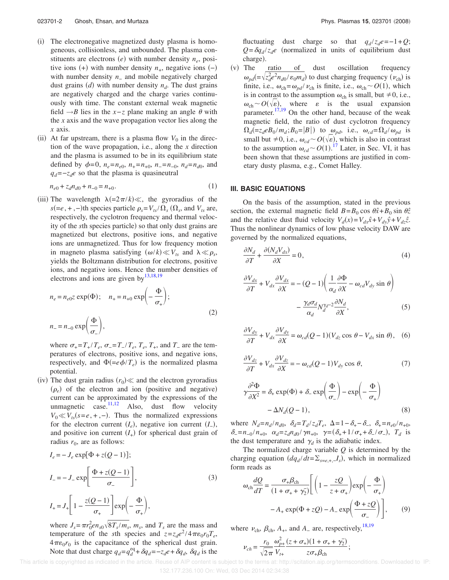- (i) The electronegative magnetized dusty plasma is homogeneous, collisionless, and unbounded. The plasma constituents are electrons  $(e)$  with number density  $n_e$ , positive ions  $(+)$  with number density  $n_{+}$ , negative ions  $(-)$ with number density *n*<sup>−</sup> and mobile negatively charged dust grains  $(d)$  with number density  $n_d$ . The dust grains are negatively charged and the charge varies continuously with time. The constant external weak magnetic field  $\rightarrow$ *B* lies in the *x*−*z* plane making an angle  $\theta$  with the *x* axis and the wave propagation vector lies along the *x* axis.
- (ii) At far upstream, there is a plasma flow  $V_0$  in the direction of the wave propagation, i.e., along the *x* direction and the plasma is assumed to be in its equilibrium state defined by  $\phi = 0$ ,  $n_e = n_{e0}$ ,  $n_+ = n_{+0}$ ,  $n_- = n_{-0}$ ,  $n_d = n_{d0}$ , and *q*<sup>*d*</sup> =−*z*<sup>*d*</sup> so that the plasma is quasineutral

$$
n_{e0} + z_d n_{d0} + n_{-0} = n_{+0}.\tag{1}
$$

(iii) The wavelength  $\lambda =2\pi/k$ ) « the gyroradius of the  $s(=e, +, -)$ th species particle  $\rho_s = V_{ts}/\Omega_s$  ( $\Omega_s$ , and  $V_{ts}$  are, respectively, the cyclotron frequency and thermal velocity of the *s*th species particle) so that only dust grains are magnetized but electrons, positive ions, and negative ions are unmagnetized. Thus for low frequency motion in magneto plasma satisfying  $(\omega/k) \ll V_t$  and  $\lambda \ll \rho_s$ , yields the Boltzmann distribution for electrons, positive ions, and negative ions. Hence the number densities of electrons and ions are given by $^{13,18,19}$ 

$$
n_e = n_{e0}z \exp(\Phi); \quad n_+ = n_{+0} \exp\left(-\frac{\Phi}{\sigma_+}\right);
$$
  

$$
n_- = n_{-0} \exp\left(\frac{\Phi}{\sigma_-}\right),
$$
 (2)

where  $\sigma_{+} = T_{+}/T_{e}$ ,  $\sigma_{-} = T_{-}/T_{e}$ ,  $T_{e}$ ,  $T_{+}$ , and  $T_{-}$  are the temperatures of electrons, positive ions, and negative ions, respectively, and  $\Phi(=e\phi/T_e)$  is the normalized plasma potential.

(iv) The dust grain radius  $(r_0)$  « and the electron gyroradius  $(\rho_e)$  of the electron and ion (positive and negative) current can be approximated by the expressions of the unmagnetic case. $\frac{11,12}{11,12}$  Also, dust flow velocity  $V_0 \ll V_{ts}(s = e, +, -)$ . Thus the normalized expressions for the electron current  $(I_e)$ , negative ion current  $(I_$ <sub>−</sub>), and positive ion current  $(I_+)$  for spherical dust grain of radius  $r_0$ , are as follows:

$$
I_e = -J_e \exp[\Phi + z(Q-1)];
$$
  
\n
$$
I_{-} = -J_{-} \exp\left[\frac{\Phi + z(Q-1)}{\sigma_{-}}\right],
$$
\n(3)  
\n
$$
I_{+} = J_{+} \left[1 - \frac{z(Q-1)}{\sigma_{+}}\right] \exp\left(-\frac{\Phi}{\sigma_{+}}\right),
$$

where  $J_s = \pi r_0^2 e n_{s0} \sqrt{8T_s/m_s}$ ,  $m_s$ , and  $T_s$  are the mass and temperature of the *s*th species and  $z = z_d e^2 / 4 \pi \epsilon_0 r_0 T_e$ ,  $4\pi\varepsilon_0 r_0$  is the capacitance of the spherical dust grain. Note that dust charge  $q_d = q_d^{\text{eq}} + \delta q_d = -z_d e + \delta q_d$ ,  $\delta q_d$  is the fluctuating dust charge so that  $q_d/z_d e = -1 + Q$ ;  $Q = \delta q_d / z_d e$  (normalized in units of equilibrium dust charge).

 $(v)$  The ratio of dust oscillation frequency  $\omega_{pd} = \sqrt{z_d^2 e^2 n_{d0}/\epsilon_0 m_d}$  to dust charging frequency ( $\nu_{ch}$ ) is finite, i.e.,  $\omega_{ch} = \omega_{pd} / \nu_{ch}$  is finite, i.e.,  $\omega_{ch} \sim O(1)$ , which is in contrast to the assumption  $\omega_{ch}$  is small, but  $\neq 0$ , i.e.,  $\omega_{ch} \sim O(\sqrt{\epsilon})$ , where  $\epsilon$  is the usual expansion parameter.<sup>17,19</sup> On the other hand, because of the weak magnetic field, the ratio of dust cyclotron frequency  $\Omega_d$ (=*z*<sub>d</sub>eB<sub>0</sub>/*m*<sub>d</sub>; *B*<sub>0</sub>=|*B*|) to  $\omega_{pd}$ , i.e.,  $\omega_{cd} = \Omega_d / \omega_{pd}$  is small but  $\neq 0$ , i.e.,  $\omega_{cd} \sim O(\sqrt{\epsilon})$ , which is also in contrast to the assumption  $\omega_{cd} \sim O(1)$ .<sup>17</sup> Later, in Sec. VI, it has been shown that these assumptions are justified in cometary dusty plasma, e.g., Comet Halley.

#### **III. BASIC EQUATIONS**

On the basis of the assumption, stated in the previous section, the external magnetic field  $B = B_0 \cos \theta \hat{x} + B_0 \sin \theta \hat{z}$ and the relative dust fluid velocity  $V_d(x) = V_{dx} \hat{x} + V_{dy} \hat{y} + V_{dz} \hat{z}$ . Thus the nonlinear dynamics of low phase velocity DAW are governed by the normalized equations,

$$
\frac{\partial N_d}{\partial T} + \frac{\partial (N_d V_{dx})}{\partial X} = 0,\tag{4}
$$

$$
\frac{\partial V_{dx}}{\partial T} + V_{dx} \frac{\partial V_{dx}}{\partial X} = -(Q - 1) \left( \frac{1}{\alpha_d} \frac{\partial \Phi}{\partial X} - \omega_{cd} V_{dy} \sin \theta \right)
$$

$$
- \frac{\gamma_d \sigma_d}{\alpha_d} N_d^{\gamma_d - 2} \frac{\partial N_d}{\partial X}, \tag{5}
$$

$$
\frac{\partial V_{dy}}{\partial T} + V_{dx} \frac{\partial V_{dy}}{\partial X} = \omega_{cd} (Q - 1) (V_{dz} \cos \theta - V_{dx} \sin \theta), \quad (6)
$$

$$
\frac{\partial V_{dz}}{\partial T} + V_{dx} \frac{\partial V_{dz}}{\partial X} = -\omega_{cd}(Q - 1)V_{dy} \cos \theta,
$$
\n(7)

$$
\gamma \frac{\partial^2 \Phi}{\partial X^2} = \delta_+ \exp(\Phi) + \delta_- \exp\left(\frac{\Phi}{\sigma_-}\right) - \exp\left(-\frac{\Phi}{\sigma_+}\right) - \Delta N_d(Q-1),
$$
\n(8)

where  $N_d = n_d/n_{d0}$ ,  $\delta_d = T_d/z_dT_e$ ,  $\Delta = 1 - \delta_+ - \delta_-, \delta_+ = n_{e0}/n_{+0}$ ,  $\delta = n_{-0} / n_{+0}, \alpha_d = z_d n_{d0} / \gamma n_{+0}, \gamma = (\delta_+ + 1 / \sigma_+ + \delta_- / \sigma_-), T_d$  is the dust temperature and  $\gamma_d$  is the adiabatic index.

The normalized charge variable *Q* is determined by the charging equation  $(dq_d/dt = \sum_{s=e,+,-} I_s)$ , which in normalized form reads as

$$
\omega_{\rm ch} \frac{dQ}{dT} = \frac{\sigma_{+} \beta_{\rm ch}}{(1 + \sigma_{+} + \gamma_{2})} \left[ \left( 1 - \frac{zQ}{z + \sigma_{+}} \right) \exp\left( -\frac{\Phi}{\sigma_{+}} \right) - A_{+} \exp(\Phi + zQ) - A_{-} \exp\left( \frac{\Phi + zQ}{\sigma_{-}} \right) \right],
$$
 (9)

where  $v_{\text{ch}}$ ,  $\beta_{\text{ch}}$ ,  $A_+$ , and  $A_-$  are, respectively,<sup>18,19</sup>

$$
v_{ch} = \frac{r_0}{\sqrt{2\pi}} \frac{\omega_{p+}^2}{V_{t+}} \frac{(z + \sigma_+)(1 + \sigma_+ + \gamma_2)}{z\sigma_+ \beta_{ch}};
$$

 This article is copyrighted as indicated in the article. Reuse of AIP content is subject to the terms at: http://scitation.aip.org/termsconditions. Downloaded to IP: 132.177.236.100 On: Wed, 03 Dec 2014 02:34:38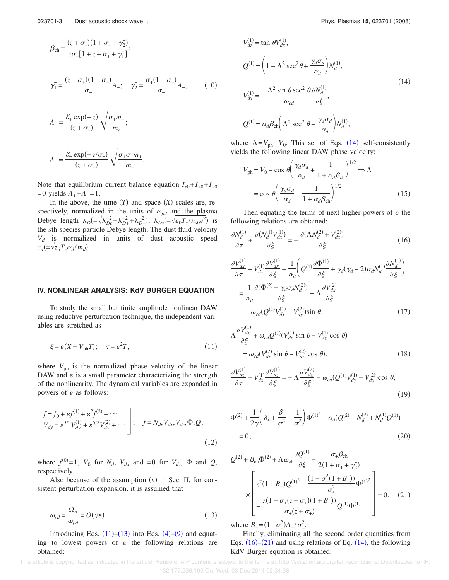$$
\beta_{ch} = \frac{(z + \sigma_{+})(1 + \sigma_{+} + \gamma_{2})}{z\sigma_{+}[1 + z + \sigma_{+} + \gamma_{1}]};
$$
\n
$$
\gamma_{1}^{-} = \frac{(z + \sigma_{+})(1 - \sigma_{-})}{\sigma_{-}}A_{-}; \quad \gamma_{2}^{-} = \frac{\sigma_{+}(1 - \sigma_{-})}{\sigma_{-}}A_{-}, \qquad (10)
$$
\n
$$
A_{+} = \frac{\delta_{+} \exp(-z)}{(z + \sigma_{+})} \sqrt{\frac{\sigma_{+} m_{+}}{m_{e}}};
$$

$$
A_{-} = \frac{\delta_{-} \exp(-z/\sigma_{-})}{(z + \sigma_{+})} \sqrt{\frac{\sigma_{+} \sigma_{-} m_{+}}{m_{-}}}.
$$

Note that equilibrium current balance equation  $I_{e0} + I_{+0} + I_{-0}$  $=0$  yields  $A_{+} + A_{-} = 1$ .

In the above, the time  $(T)$  and space  $(X)$  scales are, respectively, normalized in the units of  $\omega_{pd}$  and the plasma Debye length  $\lambda_D = \sqrt{\lambda_{De}^2 + \lambda_{D+}^2 + \lambda_{D-}^2}$ ,  $\lambda_{Ds} = \sqrt{\varepsilon_0 T_s / n_{s0} e^2}$  is the *s*th species particle Debye length. The dust fluid velocity  $V_d$  is normalized in units of dust acoustic speed  $c_d$ (= $\sqrt{z_d T_e \alpha_d / m_d}$ ).

#### **IV. NONLINEAR ANALYSIS: KdV BURGER EQUATION**

To study the small but finite amplitude nonlinear DAW using reductive perturbation technique, the independent variables are stretched as

$$
\xi = \varepsilon (X - V_{\text{ph}} T); \quad \tau = \varepsilon^2 T,\tag{11}
$$

where  $V_{\text{ph}}$  is the normalized phase velocity of the linear DAW and  $\varepsilon$  is a small parameter characterizing the strength of the nonlinearity. The dynamical variables are expanded in powers of  $\varepsilon$  as follows:

$$
f = f_0 + \varepsilon f^{(1)} + \varepsilon^2 f^{(2)} + \cdots
$$
  
\n
$$
V_{dy} = \varepsilon^{3/2} V_{dy}^{(1)} + \varepsilon^{5/2} V_{dy}^{(2)} + \cdots
$$
  
\n
$$
\vdots \quad f = N_d, V_{dx}, V_{dz}, \Phi, Q,
$$
  
\n(12)

where  $f^{(0)}=1$ ,  $V_0$  for  $N_d$ ,  $V_{dx}$  and  $=0$  for  $V_{dz}$ ,  $\Phi$  and  $Q$ , respectively.

Also because of the assumption  $(v)$  in Sec. II, for consistent perturbation expansion, it is assumed that

$$
\omega_{cd} = \frac{\Omega_d}{\omega_{pd}} = O(\sqrt{\varepsilon}).\tag{13}
$$

Introducing Eqs.  $(11)$ – $(13)$  into Eqs.  $(4)$ – $(9)$  and equating to lowest powers of  $\varepsilon$  the following relations are obtained:

$$
V_{dz}^{(1)} = \tan \theta V_{dx}^{(1)},
$$
  
\n
$$
Q^{(1)} = \left(1 - \Lambda^2 \sec^2 \theta + \frac{\gamma_d \sigma_d}{\alpha_d}\right) N_d^{(1)},
$$
  
\n
$$
V_{dy}^{(1)} = -\frac{\Lambda^2 \sin \theta \sec^2 \theta}{\omega_{cd}} \frac{\partial N_d^{(1)}}{\partial \xi},
$$
  
\n
$$
Q^{(1)} = \alpha_d \beta_{ch} \left(\Lambda^2 \sec^2 \theta - \frac{\gamma_d \sigma_d}{\alpha_d}\right) N_d^{(1)},
$$
\n(14)

where  $\Lambda = V_{\text{ph}} - V_0$ . This set of Eqs. (14) self-consistently yields the following linear DAW phase velocity:

$$
V_{\text{ph}} = V_0 - \cos \theta \left( \frac{\gamma_d \sigma_d}{\alpha_d} + \frac{1}{1 + \alpha_d \beta_{\text{ch}}} \right)^{1/2} \Rightarrow \Lambda
$$

$$
= \cos \theta \left( \frac{\gamma_d \sigma_d}{\alpha_d} + \frac{1}{1 + \alpha_d \beta_{\text{ch}}} \right)^{1/2} . \tag{15}
$$

Then equating the terms of next higher powers of  $\varepsilon$  the following relations are obtained:

$$
\frac{\partial N_d^{(1)}}{\partial \tau} + \frac{\partial (N_d^{(1)} V_{dx}^{(1)})}{\partial \xi} = -\frac{\partial (\Lambda N_d^{(2)} + V_{dx}^{(2)})}{\partial \xi},\tag{16}
$$

$$
\frac{\partial V_{dx}^{(1)}}{\partial \tau} + V_{dx}^{(1)} \frac{\partial V_{dx}^{(1)}}{\partial \xi} + \frac{1}{\alpha_d} \left( Q^{(1)} \frac{\partial \Phi^{(1)}}{\partial \xi} + \gamma_d (\gamma_d - 2) \sigma_d N_d^{(1)} \frac{\partial N_d^{(1)}}{\partial \xi} \right)
$$
  
\n
$$
= \frac{1}{\alpha_d} \frac{\partial (\Phi^{(2)} - \gamma_d \sigma_d N_d^{(2)})}{\partial \xi} - \Lambda \frac{\partial V_{dx}^{(2)}}{\partial \xi}
$$
  
\n
$$
+ \omega_{cd} (Q^{(1)} V_{dx}^{(1)} - V_{dy}^{(2)}) \sin \theta, \qquad (17)
$$

$$
\Lambda \frac{\partial V_{dy}^{(1)}}{\partial \xi} + \omega_{cd} Q^{(1)} (V_{dx}^{(1)} \sin \theta - V_{dz}^{(1)} \cos \theta)
$$
  
=  $\omega_{cd} (V_{dx}^{(2)} \sin \theta - V_{dz}^{(2)} \cos \theta),$  (18)

$$
\frac{\partial V_{dz}^{(1)}}{\partial \tau} + V_{dx}^{(1)} \frac{\partial V_{dz}^{(1)}}{\partial \xi} = -\Lambda \frac{\partial V_{dz}^{(2)}}{\partial \xi} - \omega_{cd} (Q^{(1)} V_{dy}^{(1)} - V_{dy}^{(2)}) \cos \theta,
$$
\n(19)

$$
\Phi^{(2)} + \frac{1}{2\gamma} \left( \delta_+ + \frac{\delta_-}{\sigma_-^2} - \frac{1}{\sigma_+^2} \right) \Phi^{(1)^2} - \alpha_d (Q^{(2)} - N_d^{(2)} + N_d^{(1)} Q^{(1)})
$$
  
= 0, (20)

$$
Q^{(2)} + \beta_{ch}\Phi^{(2)} + \Lambda\omega_{ch}\frac{\partial Q^{(1)}}{\partial \xi} + \frac{\sigma_{+}\beta_{ch}}{2(1 + \sigma_{+} + \gamma_{2})}
$$

$$
\times \left[\frac{z^{2}(1 + B_{-})Q^{(1)^{2}} - \frac{(1 - \sigma_{+}^{2}(1 + B_{-}))}{\sigma_{+}^{2}}\Phi^{(1)^{2}}}{\frac{z(1 - \sigma_{+}(z + \sigma_{+})(1 + B_{-}))}{\sigma_{+}(z + \sigma_{+})}Q^{(1)}\Phi^{(1)}}\right] = 0, \quad (21)
$$

where  $B_- = (1 - \sigma_-^2)A_- / \sigma_-^2$ .

Finally, eliminating all the second order quantities from Eqs.  $(16)$ – $(21)$  and using relations of Eq.  $(14)$ , the following KdV Burger equation is obtained:

This article is copyrighted as indicated in the article. Reuse of AIP content is subject to the terms at: http://scitation.aip.org/termsconditions. Downloaded to IP: 132.177.236.100 On: Wed, 03 Dec 2014 02:34:38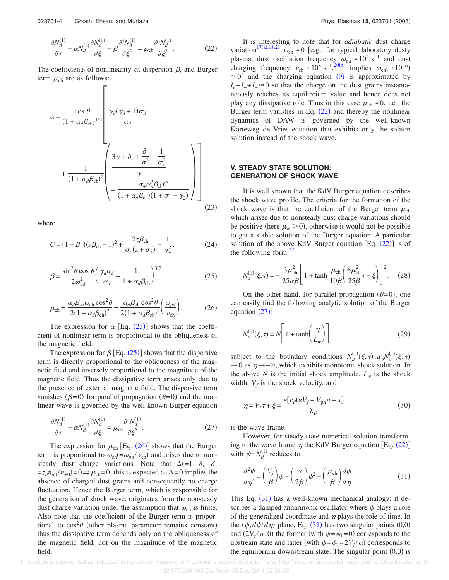$$
\frac{\partial N_d^{(1)}}{\partial \tau} - \alpha N_d^{(1)} \frac{\partial N_d^{(1)}}{\partial \xi} - \beta \frac{\partial^3 N_d^{(1)}}{\partial \xi^3} = \mu_{\rm ch} \frac{\partial^2 N_d^{(1)}}{\partial \xi^2}.
$$
 (22)

The coefficients of nonlinearity  $\alpha$ , dispersion  $\beta$ , and Burger term  $\mu_{ch}$  are as follows:

$$
\alpha = \frac{\cos \theta}{(1 + \alpha_d \beta_{ch})^{1/2}} \left[ \frac{\gamma_d (\gamma_d + 1) \sigma_d}{\alpha_d} + \frac{1}{(1 + \alpha_d \beta_{ch})^2} \left( \frac{3\gamma + \delta_+ + \frac{\delta_-}{\sigma_-^2} - \frac{1}{\sigma_+^2}}{\gamma} + \frac{\sigma_+ \alpha_d^2 \beta_{ch} C}{(1 + \alpha_d \beta_{ch})(1 + \sigma_+ + \gamma_2)} \right) \right],
$$
\n(23)

where

$$
C = (1 + B_{-})(z\beta_{ch} - 1)^{2} + \frac{2z\beta_{ch}}{\sigma_{+}(z + \sigma_{+})} - \frac{1}{\sigma_{+}^{2}},
$$
(24)

$$
\beta = \frac{\sin^2 \theta \cos \theta}{2\omega_{cd}^2} \left(\frac{\gamma_d \sigma_d}{\alpha_d} + \frac{1}{1 + \alpha_d \beta_{ch}}\right)^{3/2},\tag{25}
$$

$$
\mu_{ch} = \frac{\alpha_d \beta_{ch} \omega_{ch} \cos^2 \theta}{2(1 + \alpha_d \beta_{ch})^2} = \frac{\alpha_d \beta_{ch} \cos^2 \theta}{2(1 + \alpha_d \beta_{ch})^2} \left(\frac{\omega_{pd}}{\nu_{ch}}\right). \tag{26}
$$

The expression for  $\alpha$  [Eq. (23)] shows that the coefficient of nonlinear term is proportional to the obliqueness of the magnetic field.

The expression for  $\beta$  [Eq. (25)] shows that the dispersive term is directly proportional to the obliqueness of the magnetic field and inversely proportional to the magnitude of the magnetic field. Thus the dissipative term arises only due to the presence of external magnetic field. The dispersive term vanishes ( $\beta$ =0) for parallel propagation ( $\theta$ =0) and the nonlinear wave is governed by the well-known Burger equation

$$
\frac{\partial N_d^{(1)}}{\partial \tau} - \alpha N_d^{(1)} \frac{\partial N_d^{(1)}}{\partial \xi} = \mu_{\rm ch} \frac{\partial^2 N_d^{(1)}}{\partial \xi^2}.
$$
 (27)

The expression for  $\mu_{ch}$  [Eq. (26)] shows that the Burger term is proportional to  $\omega_{ch} = \omega_{pd} / \nu_{ch}$ ) and arises due to nonsteady dust charge variations. Note that  $\Delta(=1-\delta_+ - \delta_-)$  $=z_d n_{d0}/n_{+0}$  = 0  $\Rightarrow \mu_{ch}$  = 0, this is expected as  $\Delta$  = 0 implies the absence of charged dust grains and consequently no charge fluctuation. Hence the Burger term, which is responsible for the generation of shock wave, originates from the nonsteady dust charge variation under the assumption that  $\omega_{ch}$  is finite. Also note that the coefficient of the Burger term is proportional to  $\cos^2\theta$  (other plasma parameter remains constant) thus the dissipative term depends only on the obliqueness of the magnetic field, not on the magnitude of the magnetic field.

It is interesting to note that for *adiabatic* dust charge variation<sup>17(a),18,21</sup>  $\omega_{ch} \approx 0$  [e.g., for typical laboratory dusty plasma, dust oscillation frequency  $\omega_{pd} \approx 10^2 \text{ s}^{-1}$  and dust charging frequency  $v_{ch} \approx 10^8 \text{ s}^{-1} \cdot \frac{20(\text{b})^7 \text{ implies } \omega_{ch} (\approx 10^{-6})}$  $\approx$  0] and the charging equation (9) is approximated by  $I_e + I_+ + I_- \approx 0$  so that the charge on the dust grains instantaneously reaches its equilibrium value and hence does not play any dissipative role. Thus in this case  $\mu_{ch} \approx 0$ , i.e., the Burger term vanishes in Eq.  $(22)$  and thereby the nonlinear dynamics of DAW is governed by the well-known Korteweg–de Vries equation that exhibits only the soliton solution instead of the shock wave.

#### **V. STEADY STATE SOLUTION: GENERATION OF SHOCK WAVE**

It is well known that the KdV Burger equation describes the shock wave profile. The criteria for the formation of the shock wave is that the coefficient of the Burger term  $\mu_{ch}$ which arises due to nonsteady dust charge variations should be positive (here  $\mu_{ch}$  > 0), otherwise it would not be possible to get a stable solution of the Burger equation. A particular solution of the above KdV Burger equation  $[Eq. (22)]$  is of the following form: $^{22}$ 

$$
N_d^{(1)}(\xi,\tau) = -\frac{3\mu_{\rm ch}^2}{25\alpha\beta} \left[ 1 + \tanh\frac{\mu_{\rm ch}}{10\beta} \left( \frac{6\mu_{\rm ch}^2}{25\beta} \tau - \xi \right) \right]^2.
$$
 (28)

On the other hand, for parallel propagation  $(\theta=0)$ , one can easily find the following analytic solution of the Burger equation  $(27)$ :

$$
N_d^{(1)}(\xi, \tau) = N \left[ 1 + \tanh\left(\frac{\eta}{L_w}\right) \right]
$$
 (29)

subject to the boundary conditions  $N_d^{(1)}(\xi, \tau)$ ,  $d_\eta N_d^{(1)}(\xi, \tau)$  $\rightarrow$ 0 as  $\eta \rightarrow -\infty$ , which exhibits monotonic shock solution. In the above *N* is the initial shock amplitude,  $L_w$  is the shock width,  $V_f$  is the shock velocity, and

$$
\eta = V_f \tau + \xi = \frac{\varepsilon [c_d (\varepsilon V_f - V_{\text{ph}}) t + x]}{\lambda_D} \tag{30}
$$

is the wave frame.

However, for steady state numerical solution transforming to the wave frame  $\eta$  the KdV Burger equation [Eq. (22)] with  $\psi = N_d^{(1)}$  reduces to

$$
\frac{d^2\psi}{d\eta^2} = \left(\frac{V_f}{\beta}\right)\psi - \left(\frac{\alpha}{2\beta}\right)\psi^2 - \left(\frac{\mu_{\rm ch}}{\beta}\right)\frac{d\psi}{d\eta}.\tag{31}
$$

This Eq. (31) has a well-known mechanical analogy; it describes a damped anharmonic oscillator where  $\psi$  plays a role of the generalized coordinate and  $\eta$  plays the role of time. In the  $(\psi, d\psi/d\eta)$  plane, Eq. (31) has two singular points (0,0) and  $(2V_f/\alpha, 0)$  the former (with  $\psi = \psi_1 = 0$ ) corresponds to the upstream state and latter (with  $\psi = \psi_2 = 2V_f/\alpha$ ) corresponds to the equilibrium downstream state. The singular point  $(0,0)$  is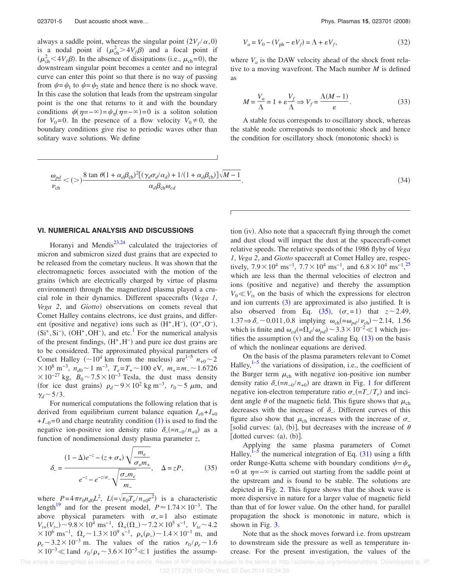always a saddle point, whereas the singular point  $(2V_f/\alpha, 0)$ is a nodal point if  $(\mu_{ch}^2>4V_f\beta)$  and a focal point if  $(\mu_{ch}^2 < 4V_f \beta)$ . In the absence of dissipations (i.e.,  $\mu_{ch} = 0$ ), the downstream singular point becomes a center and no integral curve can enter this point so that there is no way of passing from  $\psi = \psi_1$  to  $\psi = \psi_2$  state and hence there is no shock wave. In this case the solution that leads from the upstream singular point is the one that returns to it and with the boundary conditions  $\psi(\eta = -\infty) = \psi_{\eta}(\eta = -\infty) = 0$  is a soliton solution for  $V_0=0$ . In the presence of a flow velocity  $V_0\neq 0$ , the boundary conditions give rise to periodic waves other than solitary wave solutions. We define

$$
V_a = V_0 - (V_{\text{ph}} - \varepsilon V_f) = \Lambda + \varepsilon V_f,\tag{32}
$$

where  $V_a$  is the DAW velocity ahead of the shock front relative to a moving wavefront. The Mach number *M* is defined as

$$
M = \frac{V_a}{\Lambda} = 1 + \varepsilon \frac{V_f}{\Lambda} \Rightarrow V_f = \frac{\Lambda (M - 1)}{\varepsilon}.
$$
 (33)

A stable focus corresponds to oscillatory shock, whereas the stable node corresponds to monotonic shock and hence the condition for oscillatory shock (monotonic shock) is

$$
\frac{\omega_{pd}}{\nu_{ch}} < (>)\frac{8 \tan \theta (1 + \alpha_d \beta_{ch})^2 [(\gamma_d \sigma_d/\alpha_d) + 1/(1 + \alpha_d \beta_{ch})] \sqrt{M - 1}}{\alpha_d \beta_{ch} \omega_{cd}}.
$$
\n(34)

#### **VI. NUMERICAL ANALYSIS AND DISCUSSIONS**

Horanyi and Mendis<sup>23,24</sup> calculated the trajectories of micron and submicron sized dust grains that are expected to be released from the cometary nucleus. It was shown that the electromagnetic forces associated with the motion of the grains (which are electrically charged by virtue of plasma environment) through the magnetized plasma played a crucial role in their dynamics. Different spacecrafts *Vega 1*, Vega 2, and Giotto) observations on comets reveal that Comet Halley contains electrons, ice dust grains, and different (positive and negative) ions such as  $(H^+, H^-)$ ,  $(O^+, O^-)$ ,  $(Si^+, Si^-)$ ,  $(OH^+, OH^-)$ , and etc.<sup>1</sup> For the numerical analysis of the present findings,  $(H^+, H^-)$  and pure ice dust grains are to be considered. The approximated physical parameters of Comet Halley ( $\sim 10^4$  km from the nucleus) are<sup>1-5</sup>  $n_{+0} \sim 2$  $\times$  10<sup>8</sup> m<sup>-3</sup>, *n*<sub>d0</sub> ~ 1 m<sup>-3</sup>, *T<sub>e</sub>*=*T*<sub>+</sub> ~ 100 eV, *m*<sub>+</sub>=*m*<sub>−</sub> ~ 1.6726  $\times 10^{-27}$  kg,  $B_0 \sim 7.5 \times 10^{-3}$  Tesla, the dust mass density (for ice dust grains)  $\rho_d \sim 9 \times 10^2$  kg m<sup>-3</sup>,  $r_0 \sim 5 \mu$ m, and  $\gamma_d \sim 5/3$ .

For numerical computations the following relation that is derived from equilibrium current balance equation  $I_{e0} + I_{+0}$  $+I_{-0}=0$  and charge neutrality condition (1) is used to find the negative ion-positive ion density ratio  $\delta = (-n_{-0}/n_{+0})$  as a function of nondimensional dusty plasma parameter *z*,

$$
\delta_{-} = \frac{(1-\Delta)e^{-z} - (z + \sigma_{+})\sqrt{\frac{m_e}{\sigma_{+}m_{+}}}}{e^{-z} - e^{-z/\sigma_{-}}\sqrt{\frac{\sigma_{-}m_e}{m_{-}}}}, \quad \Delta = zP, \quad (35)
$$

where  $P=4\pi r_0 n_{d0} L^2$ ,  $L=\sqrt{\epsilon_0 T_e/n_{+0}e^2}$  is a characteristic length<sup>19</sup> and for the present model,  $P \approx 1.74 \times 10^{-3}$ . The above physical parameters with  $\sigma$  = 1 also estimate  $V_{t+}(V_{t-}) \sim 9.8 \times 10^4 \text{ ms}^{-1}$ ,  $\Omega_+(\Omega_-) \sim 7.2 \times 10^5 \text{ s}^{-1}$ ,  $V_{te} \sim 4.2$  $\times 10^6$  ms<sup>-1</sup>,  $\Omega_e \sim 1.3 \times 10^9$  s<sup>-1</sup>,  $\rho_+(\rho_-) \sim 1.4 \times 10^{-1}$  m, and  $\rho_e \sim 3.2 \times 10^{-3}$  m. The values of the ratios  $r_0/\rho_e \sim 1.6$  $\times 10^{-3}$  ≪ 1 and  $r_0/\rho_+$  ~ 3.6 × 10<sup>-5</sup> ≪ 1 justifies the assump-

tion (iv). Also note that a spacecraft flying through the comet and dust cloud will impact the dust at the spacecraft-comet relative speeds. The relative speeds of the 1986 flyby of *Vega 1*, *Vega 2*, and *Giotto* spacecraft at Comet Halley are, respectively,  $7.9 \times 10^4$  ms<sup>-1</sup>,  $7.7 \times 10^4$  ms<sup>-1</sup>, and  $6.8 \times 10^4$  ms<sup>-1</sup>,<sup>25</sup> which are less than the thermal velocities of electron and ions (positive and negative) and thereby the assumption  $V_0 \ll V_{ts}$  on the basis of which the expressions for electron and ion currents  $(3)$  are approximated is also justified. It is also observed from Eq.  $(35)$ ,  $(\sigma_{=}1)$  that  $z \sim 2.49$ , 1.37  $\Rightarrow$  δ<sub>-</sub> ~ 0.011, 0.8 implying ω<sub>ch</sub>(=ω<sub>pd</sub>/ ν<sub>ch</sub>) ~ 2.14, 1.56 which is finite and  $\omega_{cd} = \Omega_d / \omega_{pd}$  ~ 3.3 × 10<sup>-2</sup> ≪ 1 which justifies the assumption (v) and the scaling Eq.  $(13)$  on the basis of which the nonlinear equations are derived.

On the basis of the plasma parameters relevant to Comet Halley, $1-5$  the variations of dissipation, i.e., the coefficient of the Burger term  $\mu_{ch}$  with negative ion-positive ion number density ratio  $\delta_{-}(-n_{-0}/n_{+0})$  are drawn in Fig. 1 for different negative ion-electron temperature ratio  $\sigma_{-} (= T_{-}/T_e)$  and incident angle  $\theta$  of the magnetic field. This figure shows that  $\mu_{ch}$ decreases with the increase of  $\delta$ <sub>-</sub>. Different curves of this figure also show that  $\mu_{ch}$  increases with the increase of  $\sigma_{-}$ [solid curves: (a), (b)], but decreases with the increase of  $\theta$ [dotted curves:  $(a)$ ,  $(b)$ ].

Applying the same plasma parameters of Comet Halley,  $I^{-5}$  the numerical integration of Eq. (31) using a fifth order Runge-Kutta scheme with boundary conditions  $\psi = \psi_n$ =0 at  $\eta$ =− $\infty$  is carried out starting from the saddle point at the upstream and is found to be stable. The solutions are depicted in Fig. 2. This figure shows that the shock wave is more dispersive in nature for a larger value of magnetic field than that of for lower value. On the other hand, for parallel propagation the shock is monotonic in nature, which is shown in Fig. 3.

Note that as the shock moves forward i.e. from upstream to downstream side the pressure as well as temperature increase. For the present investigation, the values of the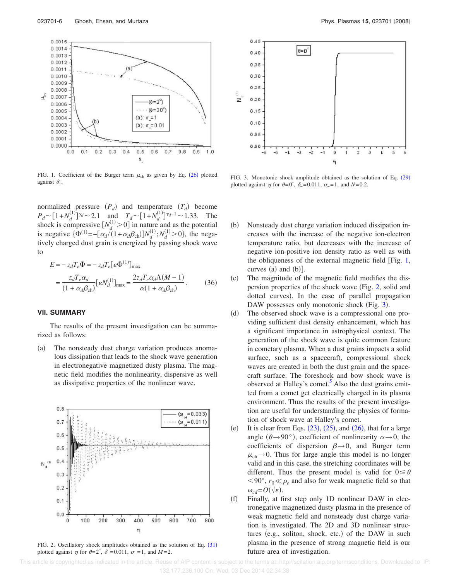

FIG. 1. Coefficient of the Burger term  $\mu_{ch}$  as given by Eq. (26) plotted against  $\delta$ \_.

normalized pressure  $(P_d)$  and temperature  $(T_d)$  become  $P_d \sim [1 + N_d^{(1)}]$ <sup>7*d*</sup>  $\sim$  2.1 and  $T_d \sim [1 + N_d^{(1)}]$ <sup>7*d*-1</sup> $\sim$  1.33. The shock is compressive  $[N_d^{(1)} > 0]$  in nature and as the potential is negative  $\{\Phi^{(1)} = -[\alpha_d l(1 + \alpha_d \beta_{ch})]N_d^{(1)}; N_d^{(1)} > 0\}$ , the negatively charged dust grain is energized by passing shock wave to

$$
E = -z_d T_e \Phi = -z_d T_e [\varepsilon \Phi^{(1)}]_{\text{max}}
$$
  
= 
$$
\frac{z_d T_e \alpha_d}{(1 + \alpha_d \beta_{\text{ch}})} [\varepsilon N_d^{(1)}]_{\text{max}} = \frac{2z_d T_e \alpha_d \Lambda (M - 1)}{\alpha (1 + \alpha_d \beta_{\text{ch}})}.
$$
 (36)

### **VII. SUMMARY**

The results of the present investigation can be summarized as follows:

 $(a)$  The nonsteady dust charge variation produces anomalous dissipation that leads to the shock wave generation in electronegative magnetized dusty plasma. The magnetic field modifies the nonlinearity, dispersive as well as dissipative properties of the nonlinear wave.



FIG. 2. Oscillatory shock amplitudes obtained as the solution of Eq. (31) plotted against  $\eta$  for  $\theta = 2^{\circ}$ ,  $\delta = 0.011$ ,  $\sigma = 1$ , and  $M = 2$ .



FIG. 3. Monotonic shock amplitude obtained as the solution of Eq. (29) plotted against  $\eta$  for  $\theta = 0^\circ$ ,  $\delta = 0.011$ ,  $\sigma = 1$ , and  $N = 0.2$ .

- $(b)$  Nonsteady dust charge variation induced dissipation increases with the increase of the negative ion-electron temperature ratio, but decreases with the increase of negative ion-positive ion density ratio as well as with the obliqueness of the external magnetic field  $[Fig. 1,$ curves  $(a)$  and  $(b)$ ].
- $(c)$  The magnitude of the magnetic field modifies the dispersion properties of the shock wave Fig. 2, solid and dotted curves). In the case of parallel propagation DAW possesses only monotonic shock (Fig. 3).
- $(d)$  The observed shock wave is a compressional one providing sufficient dust density enhancement, which has a significant importance in astrophysical context. The generation of the shock wave is quite common feature in cometary plasma. When a dust grains impacts a solid surface, such as a spacecraft, compressional shock waves are created in both the dust grain and the spacecraft surface. The foreshock and bow shock wave is observed at Halley's comet.<sup>5</sup> Also the dust grains emitted from a comet get electrically charged in its plasma environment. Thus the results of the present investigation are useful for understanding the physics of formation of shock wave at Halley's comet.
- $(e)$ It is clear from Eqs.  $(23)$ ,  $(25)$ , and  $(26)$ , that for a large angle ( $\theta \rightarrow 90^{\circ}$ ), coefficient of nonlinearity  $\alpha \rightarrow 0$ , the coefficients of dispersion  $\beta \rightarrow 0$ , and Burger term  $\mu_{ch} \rightarrow 0$ . Thus for large angle this model is no longer valid and in this case, the stretching coordinates will be different. Thus the present model is valid for  $0 \le \theta$  $0^{\circ}$ ,  $r_0 \ll \rho_e$  and also for weak magnetic field so that  $\omega_{cd} = O(\sqrt{\varepsilon}).$
- $(f)$  Finally, at first step only 1D nonlinear DAW in electronegative magnetized dusty plasma in the presence of weak magnetic field and nonsteady dust charge variation is investigated. The 2D and 3D nonlinear structures (e.g., soliton, shock, etc.) of the DAW in such plasma in the presence of strong magnetic field is our future area of investigation.

 This article is copyrighted as indicated in the article. Reuse of AIP content is subject to the terms at: http://scitation.aip.org/termsconditions. Downloaded to IP: 132.177.236.100 On: Wed, 03 Dec 2014 02:34:38